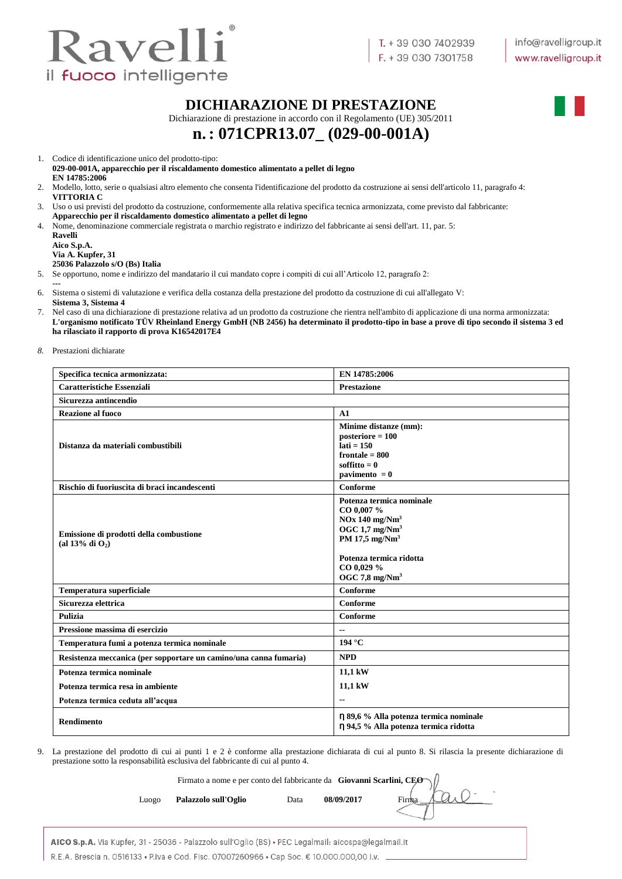

#### **DICHIARAZIONE DI PRESTAZIONE**

Dichiarazione di prestazione in accordo con il Regolamento (UE) 305/2011

# **n.: 071CPR13.07\_ (029-00-001A)**

1. Codice di identificazione unico del prodotto-tipo:

**029-00-001A, apparecchio per il riscaldamento domestico alimentato a pellet di legno EN 14785:2006**

- 2. Modello, lotto, serie o qualsiasi altro elemento che consenta l'identificazione del prodotto da costruzione ai sensi dell'articolo 11, paragrafo 4: **VITTORIA C**
- 3. Uso o usi previsti del prodotto da costruzione, conformemente alla relativa specifica tecnica armonizzata, come previsto dal fabbricante: **Apparecchio per il riscaldamento domestico alimentato a pellet di legno**
- 4. Nome, denominazione commerciale registrata o marchio registrato e indirizzo del fabbricante ai sensi dell'art. 11, par. 5:

**Ravelli Aico S.p.A. Via A. Kupfer, 31 25036 Palazzolo s/O (Bs) Italia**

5. Se opportuno, nome e indirizzo del mandatario il cui mandato copre i compiti di cui all'Articolo 12, paragrafo 2:

**---** 6. Sistema o sistemi di valutazione e verifica della costanza della prestazione del prodotto da costruzione di cui all'allegato V:

**Sistema 3, Sistema 4**

7. Nel caso di una dichiarazione di prestazione relativa ad un prodotto da costruzione che rientra nell'ambito di applicazione di una norma armonizzata: **L'organismo notificato TÜV Rheinland Energy GmbH (NB 2456) ha determinato il prodotto-tipo in base a prove di tipo secondo il sistema 3 ed ha rilasciato il rapporto di prova K16542017E4**

*8.* Prestazioni dichiarate

| Specifica tecnica armonizzata:                                    | EN 14785:2006                                                                                                                                                                                            |
|-------------------------------------------------------------------|----------------------------------------------------------------------------------------------------------------------------------------------------------------------------------------------------------|
| <b>Caratteristiche Essenziali</b>                                 | <b>Prestazione</b>                                                                                                                                                                                       |
| Sicurezza antincendio                                             |                                                                                                                                                                                                          |
| <b>Reazione al fuoco</b>                                          | A1                                                                                                                                                                                                       |
| Distanza da materiali combustibili                                | Minime distanze (mm):<br>$posterior = 100$<br>$lati = 150$<br>frontale $= 800$<br>soffitto $= 0$<br>pavimento $= 0$                                                                                      |
| Rischio di fuoriuscita di braci incandescenti                     | Conforme                                                                                                                                                                                                 |
| Emissione di prodotti della combustione<br>(al 13% di $O_2$ )     | Potenza termica nominale<br>CO 0.007 %<br>$NOx$ 140 mg/ $Nm3$<br>OGC $1.7 \text{ mg}/\text{Nm}^3$<br>PM $17,5$ mg/Nm <sup>3</sup><br>Potenza termica ridotta<br>CO 0,029 %<br>OGC 7,8 mg/Nm <sup>3</sup> |
| Temperatura superficiale                                          | Conforme                                                                                                                                                                                                 |
| Sicurezza elettrica                                               | Conforme                                                                                                                                                                                                 |
| <b>Pulizia</b>                                                    | Conforme                                                                                                                                                                                                 |
| Pressione massima di esercizio                                    | --                                                                                                                                                                                                       |
| Temperatura fumi a potenza termica nominale                       | 194 °C                                                                                                                                                                                                   |
| Resistenza meccanica (per sopportare un camino/una canna fumaria) | <b>NPD</b>                                                                                                                                                                                               |
| Potenza termica nominale                                          | 11,1 kW                                                                                                                                                                                                  |
| Potenza termica resa in ambiente                                  | 11,1 kW                                                                                                                                                                                                  |
| Potenza termica ceduta all'acqua                                  | $\overline{\phantom{a}}$                                                                                                                                                                                 |
| Rendimento                                                        | η 89,6 % Alla potenza termica nominale<br>η 94,5 % Alla potenza termica ridotta                                                                                                                          |

9. La prestazione del prodotto di cui ai punti 1 e 2 è conforme alla prestazione dichiarata di cui al punto 8. Si rilascia la presente dichiarazione di prestazione sotto la responsabilità esclusiva del fabbricante di cui al punto 4.

|       | Firmato a nome e per conto del fabbricante da Giovanni Scarlini, CEO $\sqrt{ }$ |      |            |  |
|-------|---------------------------------------------------------------------------------|------|------------|--|
| Luogo | Palazzolo sull'Oglio                                                            | Data | 08/09/2017 |  |
|       |                                                                                 |      |            |  |

| AICO S.p.A. Via Kupfer, 31 - 25036 - Palazzolo sull'Oglio (BS) • PEC Legalmail: aicospa@legalmail.it |
|------------------------------------------------------------------------------------------------------|
| R.E.A. Brescia n. 0516133 • P.iva e Cod. Fisc. 07007260966 • Cap Soc. € 10.000.000.00 i.v.           |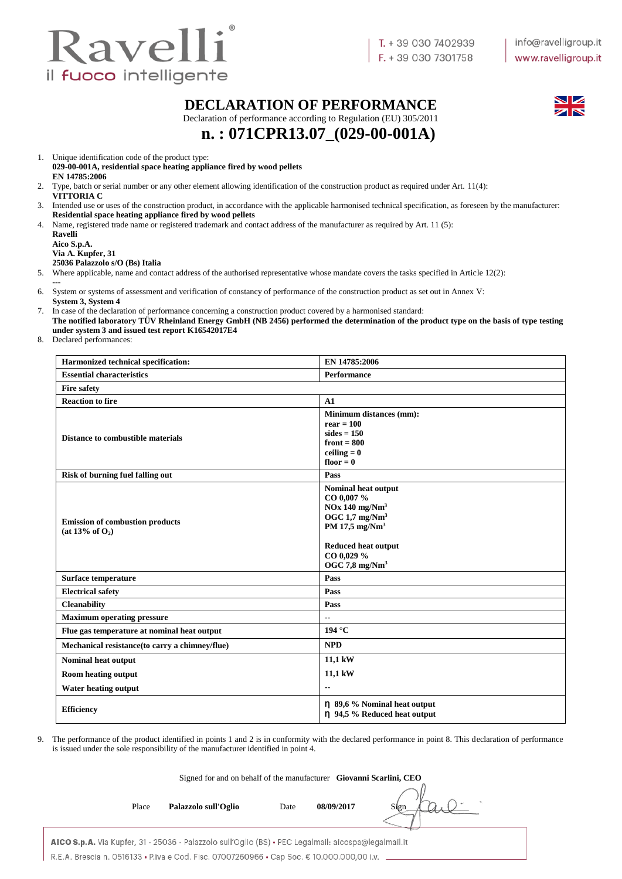

#### **DECLARATION OF PERFORMANCE**

Declaration of performance according to Regulation (EU) 305/2011



**n. : 071CPR13.07\_(029-00-001A)**

1. Unique identification code of the product type:

**029-00-001A, residential space heating appliance fired by wood pellets EN 14785:2006**

- 2. Type, batch or serial number or any other element allowing identification of the construction product as required under Art. 11(4): **VITTORIA C**
- 3. Intended use or uses of the construction product, in accordance with the applicable harmonised technical specification, as foreseen by the manufacturer: **Residential space heating appliance fired by wood pellets**
- 4. Name, registered trade name or registered trademark and contact address of the manufacturer as required by Art. 11 (5):

**Ravelli Aico S.p.A. Via A. Kupfer, 31**

**25036 Palazzolo s/O (Bs) Italia**

- 5. Where applicable, name and contact address of the authorised representative whose mandate covers the tasks specified in Article 12(2):
- **---** 6. System or systems of assessment and verification of constancy of performance of the construction product as set out in Annex V: **System 3, System 4**
- 7. In case of the declaration of performance concerning a construction product covered by a harmonised standard:
- **The notified laboratory TÜV Rheinland Energy GmbH (NB 2456) performed the determination of the product type on the basis of type testing under system 3 and issued test report K16542017E4**
- 8. Declared performances:

| Harmonized technical specification:                             | EN 14785:2006                                                                                                                                                                     |
|-----------------------------------------------------------------|-----------------------------------------------------------------------------------------------------------------------------------------------------------------------------------|
| <b>Essential characteristics</b>                                | <b>Performance</b>                                                                                                                                                                |
| <b>Fire safety</b>                                              |                                                                                                                                                                                   |
| <b>Reaction to fire</b>                                         | A1                                                                                                                                                                                |
| <b>Distance to combustible materials</b>                        | Minimum distances (mm):<br>$rear = 100$<br>$sides = 150$<br>front $= 800$<br>ceiling $= 0$<br>floor $= 0$                                                                         |
| <b>Risk of burning fuel falling out</b>                         | Pass                                                                                                                                                                              |
| <b>Emission of combustion products</b><br>(at $13\%$ of $O_2$ ) | Nominal heat output<br>CO 0,007 %<br>$NOx$ 140 mg/ $Nm3$<br>OGC $1.7 \text{ mg}/\text{Nm}^3$<br>PM 17,5 $mg/Nm3$<br><b>Reduced heat output</b><br>CO 0,029 %<br>OGC 7,8 mg/ $Nm3$ |
| Surface temperature                                             | Pass                                                                                                                                                                              |
| <b>Electrical safety</b>                                        | Pass                                                                                                                                                                              |
| <b>Cleanability</b>                                             | Pass                                                                                                                                                                              |
| <b>Maximum operating pressure</b>                               | $\overline{\phantom{a}}$                                                                                                                                                          |
| Flue gas temperature at nominal heat output                     | 194 °C                                                                                                                                                                            |
| Mechanical resistance(to carry a chimney/flue)                  | <b>NPD</b>                                                                                                                                                                        |
| <b>Nominal heat output</b>                                      | 11,1 kW                                                                                                                                                                           |
| <b>Room heating output</b>                                      | 11,1 kW                                                                                                                                                                           |
| <b>Water heating output</b>                                     | $\overline{a}$                                                                                                                                                                    |
| <b>Efficiency</b>                                               | η 89,6 % Nominal heat output<br>n 94,5 % Reduced heat output                                                                                                                      |

9. The performance of the product identified in points 1 and 2 is in conformity with the declared performance in point 8. This declaration of performance is issued under the sole responsibility of the manufacturer identified in point 4.

|                                                                                                      | Signed for and on behalf of the manufacturer Giovanni Scarlini, CEO |      |            |      |
|------------------------------------------------------------------------------------------------------|---------------------------------------------------------------------|------|------------|------|
| Place                                                                                                | Palazzolo sull'Oglio                                                | Date | 08/09/2017 | Sign |
| AICO S.p.A. Via Kupfer, 31 - 25036 - Palazzolo sull'Oglio (BS) · PEC Legalmail: aicospa@legalmail.it |                                                                     |      |            |      |

R.E.A. Brescia n. 0516133 • P.iva e Cod. Fisc. 07007260966 • Cap Soc. € 10.000.000,00 i.v.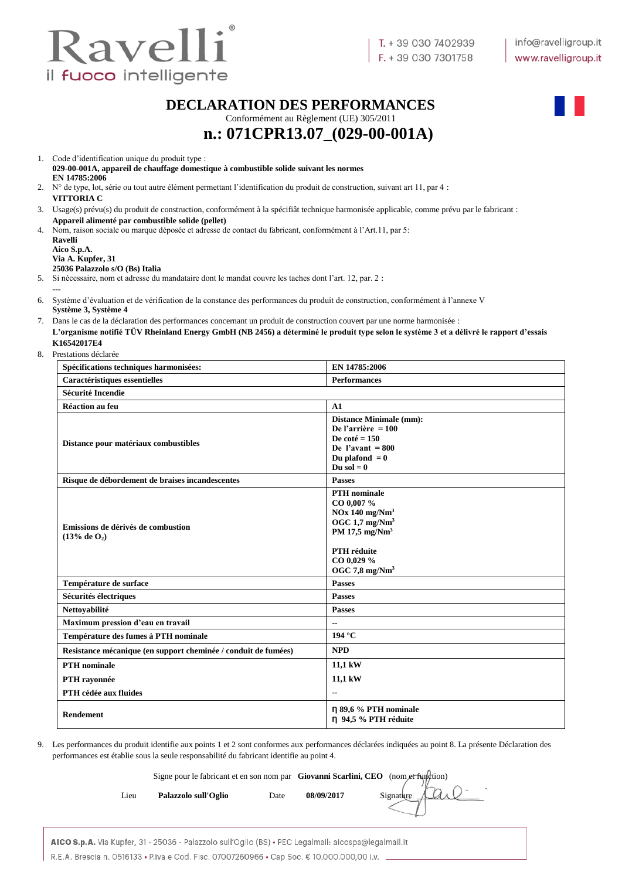

#### **DECLARATION DES PERFORMANCES**

Conformément au Règlement (UE) 305/2011



# **n.: 071CPR13.07\_(029-00-001A)**

1. Code d'identification unique du produit type : **029-00-001A, appareil de chauffage domestique à combustible solide suivant les normes EN 14785:2006**

2. N° de type, lot, série ou tout autre élément permettant l'identification du produit de construction, suivant art 11, par 4 : **VITTORIA C**

3. Usage(s) prévu(s) du produit de construction, conformément à la spécifiât technique harmonisée applicable, comme prévu par le fabricant : **Appareil alimenté par combustible solide (pellet)**

4. Nom, raison sociale ou marque déposée et adresse de contact du fabricant, conformément à l'Art.11, par 5: **Ravelli**

**Aico S.p.A. Via A. Kupfer, 31**

**---**

#### **25036 Palazzolo s/O (Bs) Italia**

5. Si nécessaire, nom et adresse du mandataire dont le mandat couvre les taches dont l'art. 12, par. 2 :

6. Système d'évaluation et de vérification de la constance des performances du produit de construction, conformément à l'annexe V **Système 3, Système 4**

7. Dans le cas de la déclaration des performances concernant un produit de construction couvert par une norme harmonisée : **L'organisme notifié TÜV Rheinland Energy GmbH (NB 2456) a déterminé le produit type selon le système 3 et a délivré le rapport d'essais K16542017E4**

8. Prestations déclarée

| Spécifications techniques harmonisées:                         | EN 14785:2006                                                                                                                                                                                  |
|----------------------------------------------------------------|------------------------------------------------------------------------------------------------------------------------------------------------------------------------------------------------|
| Caractéristiques essentielles                                  | <b>Performances</b>                                                                                                                                                                            |
| Sécurité Incendie                                              |                                                                                                                                                                                                |
| <b>Réaction au feu</b>                                         | A1                                                                                                                                                                                             |
| Distance pour matériaux combustibles                           | <b>Distance Minimale (mm):</b><br>De l'arrière = $100$<br>De coté = $150$<br>De l'avant = $800$<br>Du plafond $= 0$<br>Du sol $= 0$                                                            |
| Risque de débordement de braises incandescentes                | <b>Passes</b>                                                                                                                                                                                  |
| Emissions de dérivés de combustion<br>$(13%$ de $O_2)$         | <b>PTH</b> nominale<br>CO 0,007 %<br>$NOx$ 140 mg/ $Nm3$<br>OGC $1.7 \text{ mg}/\text{Nm}^3$<br>PM 17,5 mg/Nm <sup>3</sup><br><b>PTH</b> réduite<br>CO 0,029 %<br>OGC $7,8$ mg/Nm <sup>3</sup> |
| Température de surface                                         | <b>Passes</b>                                                                                                                                                                                  |
| Sécurités électriques                                          | <b>Passes</b>                                                                                                                                                                                  |
| Nettoyabilité                                                  | <b>Passes</b>                                                                                                                                                                                  |
| Maximum pression d'eau en travail                              | $-$                                                                                                                                                                                            |
| Température des fumes à PTH nominale                           | 194 °C                                                                                                                                                                                         |
| Resistance mécanique (en support cheminée / conduit de fumées) | <b>NPD</b>                                                                                                                                                                                     |
| <b>PTH</b> nominale                                            | 11,1 kW                                                                                                                                                                                        |
| PTH rayonnée                                                   | 11,1 kW                                                                                                                                                                                        |
| PTH cédée aux fluides                                          | $\overline{\phantom{a}}$                                                                                                                                                                       |
| <b>Rendement</b>                                               | n 89,6 % PTH nominale<br>n 94,5 % PTH réduite                                                                                                                                                  |

9. Les performances du produit identifie aux points 1 et 2 sont conformes aux performances déclarées indiquées au point 8. La présente Déclaration des performances est établie sous la seule responsabilité du fabricant identifie au point 4.

|      | Signe pour le fabricant et en son nom par Giovanni Scarlini, CEO (nom et function) |      |            |           |
|------|------------------------------------------------------------------------------------|------|------------|-----------|
| Lieu | Palazzolo sull'Oglio                                                               | Date | 08/09/2017 | Signature |
|      |                                                                                    |      |            |           |

AICO S.p.A. Via Kupfer, 31 - 25036 - Palazzolo sull'Oglio (BS) · PEC Legalmail: aicospa@legalmail.it R.E.A. Brescia n. 0516133 • P.iva e Cod. Fisc. 07007260966 • Cap Soc. € 10.000.000,00 i.v.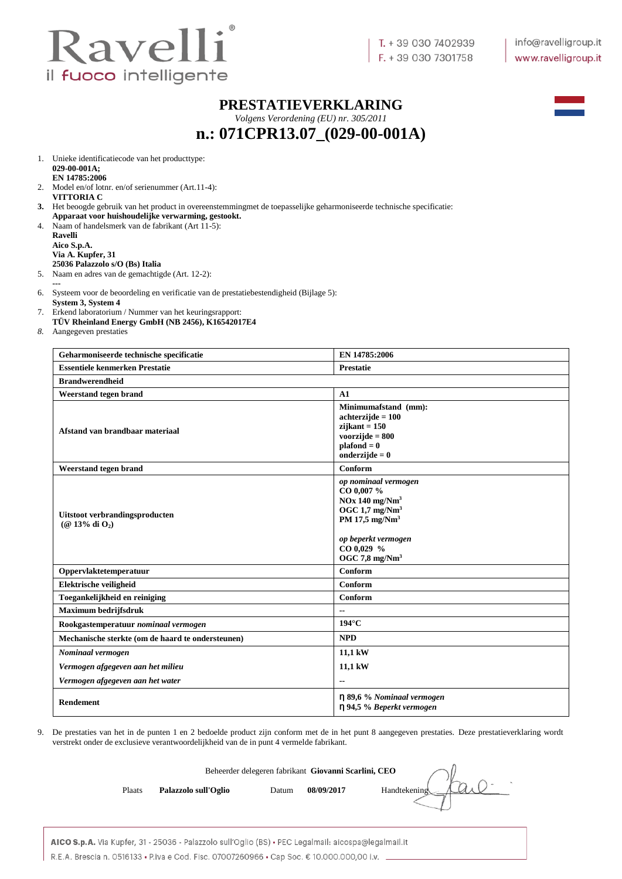

#### **PRESTATIEVERKLARING**

*Volgens Verordening (EU) nr. 305/2011*

## **n.: 071CPR13.07\_(029-00-001A)**



1. Unieke identificatiecode van het producttype: **029-00-001A; EN 14785:2006**

- 2. Model en/of lotnr. en/of serienummer (Art.11-4): **VITTORIA C**
- **3.** Het beoogde gebruik van het product in overeenstemmingmet de toepasselijke geharmoniseerde technische specificatie: **Apparaat voor huishoudelijke verwarming, gestookt.**
- 4. Naam of handelsmerk van de fabrikant (Art 11-5):
	- **Ravelli Aico S.p.A. Via A. Kupfer, 31 25036 Palazzolo s/O (Bs) Italia**
- 5. Naam en adres van de gemachtigde (Art. 12-2):
- **---** 6. Systeem voor de beoordeling en verificatie van de prestatiebestendigheid (Bijlage 5):
- **System 3, System 4**
- 7. Erkend laboratorium / Nummer van het keuringsrapport: **TÜV Rheinland Energy GmbH (NB 2456), K16542017E4**
- 
- *8.* Aangegeven prestaties

| Geharmoniseerde technische specificatie               | EN 14785:2006                                                                                                                                                             |
|-------------------------------------------------------|---------------------------------------------------------------------------------------------------------------------------------------------------------------------------|
| <b>Essentiele kenmerken Prestatie</b>                 | Prestatie                                                                                                                                                                 |
| <b>Brandwerendheid</b>                                |                                                                                                                                                                           |
| Weerstand tegen brand                                 | A1                                                                                                                                                                        |
| Afstand van brandbaar materiaal                       | Minimumafstand (mm):<br>$achterzijde = 100$<br>$zijkant = 150$<br>voorzijde $= 800$<br>$plafond = 0$<br>onderzijde = $0$                                                  |
| Weerstand tegen brand                                 | Conform                                                                                                                                                                   |
| Uitstoot verbrandingsproducten<br>$(Q$ 13% di $O_2$ ) | op nominaal vermogen<br>CO 0,007 %<br>$NOx$ 140 mg/ $Nm3$<br>OGC 1.7 $mg/Nm3$<br>PM 17,5 mg/ $Nm3$<br>op beperkt vermogen<br>$CO$ 0,029 %<br>OGC $7,8$ mg/Nm <sup>3</sup> |
| Oppervlaktetemperatuur                                | Conform                                                                                                                                                                   |
| Elektrische veiligheid                                | Conform                                                                                                                                                                   |
| Toegankelijkheid en reiniging                         | Conform                                                                                                                                                                   |
| Maximum bedrijfsdruk                                  | $-$                                                                                                                                                                       |
| Rookgastemperatuur nominaal vermogen                  | $194^\circ C$                                                                                                                                                             |
| Mechanische sterkte (om de haard te ondersteunen)     | <b>NPD</b>                                                                                                                                                                |
| Nominaal vermogen                                     | 11,1 kW                                                                                                                                                                   |
| Vermogen afgegeven aan het milieu                     | 11,1 kW                                                                                                                                                                   |
| Vermogen afgegeven aan het water                      | $\overline{\phantom{a}}$                                                                                                                                                  |
| Rendement                                             | $\eta$ 89,6 % Nominaal vermogen<br>n 94,5 % Beperkt vermogen                                                                                                              |

9. De prestaties van het in de punten 1 en 2 bedoelde product zijn conform met de in het punt 8 aangegeven prestaties. Deze prestatieverklaring wordt verstrekt onder de exclusieve verantwoordelijkheid van de in punt 4 vermelde fabrikant.

|        |                      | Beheerder delegeren fabrikant Giovanni Scarlini, CEO |            |              |
|--------|----------------------|------------------------------------------------------|------------|--------------|
| Plaats | Palazzolo sull'Oglio | Datum                                                | 08/09/2017 | Handtekening |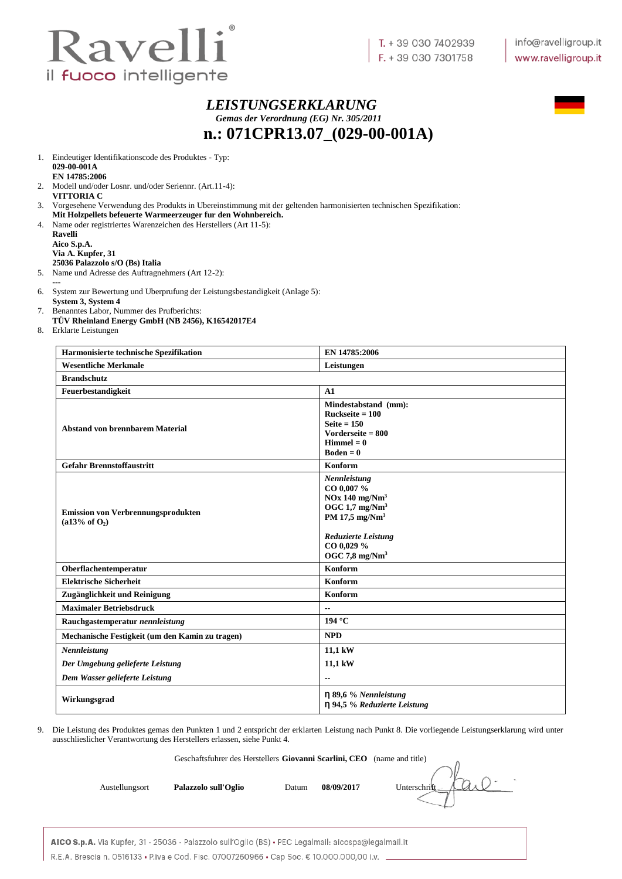

*LEISTUNGSERKLARUNG Gemas der Verordnung (EG) Nr. 305/2011* **n.: 071CPR13.07\_(029-00-001A)**

1. Eindeutiger Identifikationscode des Produktes - Typ: **029-00-001A EN 14785:2006**

- 2. Modell und/oder Losnr. und/oder Seriennr. (Art.11-4): **VITTORIA C**
- 3. Vorgesehene Verwendung des Produkts in Ubereinstimmung mit der geltenden harmonisierten technischen Spezifikation: **Mit Holzpellets befeuerte Warmeerzeuger fur den Wohnbereich.**
- 4. Name oder registriertes Warenzeichen des Herstellers (Art 11-5):

**Ravelli Aico S.p.A. Via A. Kupfer, 31 25036 Palazzolo s/O (Bs) Italia**

5. Name und Adresse des Auftragnehmers (Art 12-2):

- **---** 6. System zur Bewertung und Uberprufung der Leistungsbestandigkeit (Anlage 5):
- **System 3, System 4** 7. Benanntes Labor, Nummer des Prufberichts:
- **TÜV Rheinland Energy GmbH (NB 2456), K16542017E4**
- 8. Erklarte Leistungen

| Harmonisierte technische Spezifikation                                 | EN 14785:2006                                                                                                                                                        |
|------------------------------------------------------------------------|----------------------------------------------------------------------------------------------------------------------------------------------------------------------|
| <b>Wesentliche Merkmale</b>                                            | Leistungen                                                                                                                                                           |
| <b>Brandschutz</b>                                                     |                                                                                                                                                                      |
| Feuerbestandigkeit                                                     | A1                                                                                                                                                                   |
| <b>Abstand von brennbarem Material</b>                                 | Mindestabstand (mm):<br>$Ruckseite = 100$<br>Seite $= 150$<br>Vorderseite = $800$<br>$Himmel = 0$<br>$Boden = 0$                                                     |
| <b>Gefahr Brennstoffaustritt</b>                                       | Konform                                                                                                                                                              |
| <b>Emission von Verbrennungsprodukten</b><br>$(a13\% \text{ of } O_2)$ | Nennleistung<br>CO 0,007 %<br>$NOx$ 140 mg/ $Nm3$<br>OGC $1.7 \text{ mg}/\text{Nm}^3$<br>PM 17,5 mg/ $Nm3$<br>Reduzierte Leistung<br>CO 0,029 %<br>OGC 7,8 mg/ $Nm3$ |
| Oberflachentemperatur                                                  | Konform                                                                                                                                                              |
| <b>Elektrische Sicherheit</b>                                          | Konform                                                                                                                                                              |
| Zugänglichkeit und Reinigung                                           | Konform                                                                                                                                                              |
| <b>Maximaler Betriebsdruck</b>                                         | $\overline{\phantom{a}}$                                                                                                                                             |
| Rauchgastemperatur nennleistung                                        | 194 °C                                                                                                                                                               |
| Mechanische Festigkeit (um den Kamin zu tragen)                        | <b>NPD</b>                                                                                                                                                           |
| Nennleistung                                                           | 11,1 kW                                                                                                                                                              |
| Der Umgebung gelieferte Leistung                                       | 11,1 kW                                                                                                                                                              |
| Dem Wasser gelieferte Leistung                                         | $\overline{\phantom{a}}$                                                                                                                                             |
| Wirkungsgrad                                                           | $\eta$ 89,6 % Nennleistung<br>n 94,5 % Reduzierte Leistung                                                                                                           |

9. Die Leistung des Produktes gemas den Punkten 1 und 2 entspricht der erklarten Leistung nach Punkt 8. Die vorliegende Leistungserklarung wird unter ausschlieslicher Verantwortung des Herstellers erlassen, siehe Punkt 4.

Geschaftsfuhrer des Herstellers **Giovanni Scarlini, CEO** (name and title)

Austellungsort **Palazzolo sull'Oglio** Datum 08/09/2017 Unterschrift

AICO S.p.A. Via Kupfer, 31 - 25036 - Palazzolo sull'Oglio (BS) · PEC Legalmail: aicospa@legalmail.it R.E.A. Brescia n. 0516133 • P.iva e Cod. Fisc. 07007260966 • Cap Soc. € 10.000.000,00 i.v.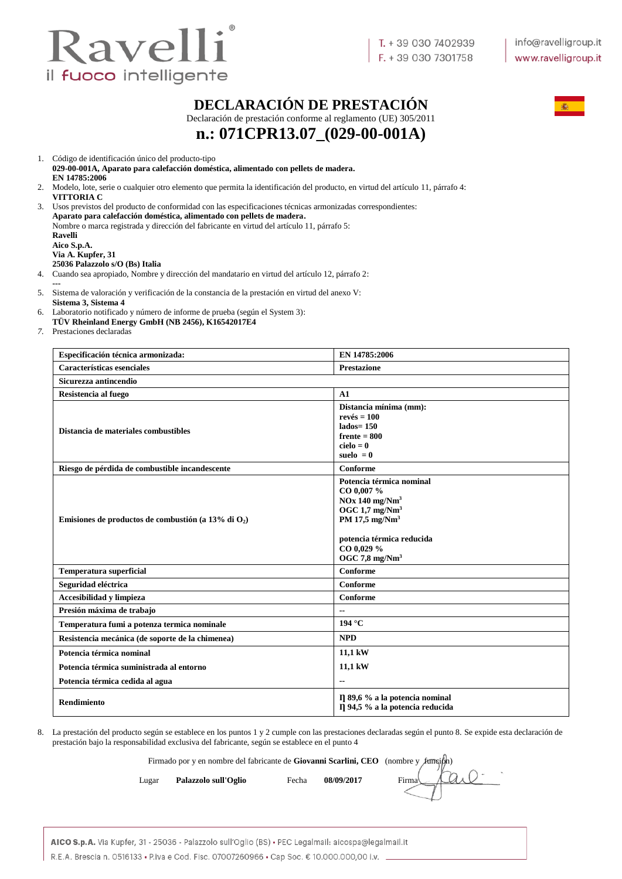

### **DECLARACIÓN DE PRESTACIÓN**

Declaración de prestación conforme al reglamento (UE) 305/2011



# **n.: 071CPR13.07\_(029-00-001A)**

1. Código de identificación único del producto-tipo

**029-00-001A, Aparato para calefacción doméstica, alimentado con pellets de madera. EN 14785:2006** 2. Modelo, lote, serie o cualquier otro elemento que permita la identificación del producto, en virtud del artículo 11, párrafo 4:

**VITTORIA C** 3. Usos previstos del producto de conformidad con las especificaciones técnicas armonizadas correspondientes: **Aparato para calefacción doméstica, alimentado con pellets de madera.** Nombre o marca registrada y dirección del fabricante en virtud del artículo 11, párrafo 5: **Ravelli Aico S.p.A. Via A. Kupfer, 31 25036 Palazzolo s/O (Bs) Italia**

4. Cuando sea apropiado, Nombre y dirección del mandatario en virtud del artículo 12, párrafo 2:

- **---**
- 5. Sistema de valoración y verificación de la constancia de la prestación en virtud del anexo V: **Sistema 3, Sistema 4**
- 6. Laboratorio notificado y número de informe de prueba (según el System 3):
- **TÜV Rheinland Energy GmbH (NB 2456), K16542017E4**
- *7.* Prestaciones declaradas

| Especificación técnica armonizada:                     | EN 14785:2006                                                                                                                                                                                  |
|--------------------------------------------------------|------------------------------------------------------------------------------------------------------------------------------------------------------------------------------------------------|
| Características esenciales                             | <b>Prestazione</b>                                                                                                                                                                             |
| Sicurezza antincendio                                  |                                                                                                                                                                                                |
| Resistencia al fuego                                   | A1                                                                                                                                                                                             |
| Distancia de materiales combustibles                   | Distancia mínima (mm):<br>$rev\acute{e}s = 100$<br>$lados = 150$<br>$f$ rente = $800$<br>$cielo = 0$<br>suelo $= 0$                                                                            |
| Riesgo de pérdida de combustible incandescente         | Conforme                                                                                                                                                                                       |
| Emisiones de productos de combustión (a 13% di $O_2$ ) | Potencia térmica nominal<br>CO 0,007 %<br>$NOx$ 140 mg/ $Nm3$<br>OGC $1.7 \text{ mg}/\text{Nm}^3$<br>PM 17,5 mg/Nm <sup>3</sup><br>potencia térmica reducida<br>CO 0,029 %<br>OGC 7.8 $mg/Nm3$ |
| <b>Temperatura superficial</b>                         | Conforme                                                                                                                                                                                       |
| Seguridad eléctrica                                    | Conforme                                                                                                                                                                                       |
| Accesibilidad y limpieza                               | Conforme                                                                                                                                                                                       |
| Presión máxima de trabajo                              |                                                                                                                                                                                                |
| Temperatura fumi a potenza termica nominale            | 194 °C                                                                                                                                                                                         |
| Resistencia mecánica (de soporte de la chimenea)       | <b>NPD</b>                                                                                                                                                                                     |
| Potencia térmica nominal                               | 11,1 kW                                                                                                                                                                                        |
| Potencia térmica suministrada al entorno               | 11,1 kW                                                                                                                                                                                        |
| Potencia térmica cedida al agua                        | $\overline{\phantom{a}}$                                                                                                                                                                       |
| <b>Rendimiento</b>                                     | Il 89,6 % a la potencia nominal<br>Il 94,5 % a la potencia reducida                                                                                                                            |

8. La prestación del producto según se establece en los puntos 1 y 2 cumple con las prestaciones declaradas según el punto 8. Se expide esta declaración de prestación bajo la responsabilidad exclusiva del fabricante, según se establece en el punto 4

Firmado por y en nombre del fabricante de **Giovanni Scarlini, CEO** (nombre y función)

Lugar **Palazzolo sull'Oglio** Fecha 08/09/2017 Firma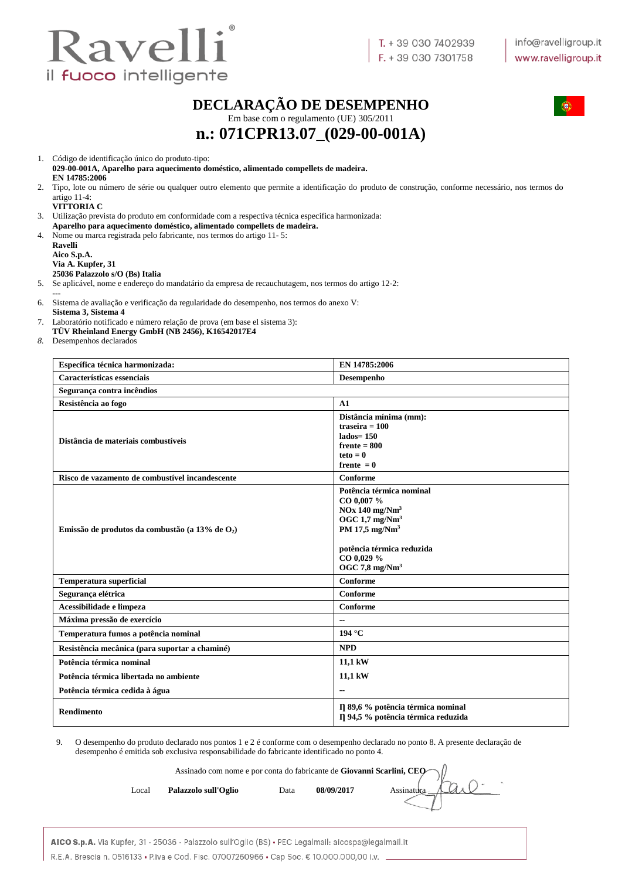

# **DECLARAÇÃO DE DESEMPENHO**



Em base com o regulamento (UE) 305/2011

# **n.: 071CPR13.07\_(029-00-001A)**

1. Código de identificação único do produto-tipo:

**029-00-001A, Aparelho para aquecimento doméstico, alimentado compellets de madeira. EN 14785:2006**

2. Tipo, lote ou número de série ou qualquer outro elemento que permite a identificação do produto de construção, conforme necessário, nos termos do artigo 11-4:

**VITTORIA C**

3. Utilização prevista do produto em conformidade com a respectiva técnica especifica harmonizada: **Aparelho para aquecimento doméstico, alimentado compellets de madeira.**

4. Nome ou marca registrada pelo fabricante, nos termos do artigo 11- 5:

**Ravelli Aico S.p.A. Via A. Kupfer, 31 25036 Palazzolo s/O (Bs) Italia**

5. Se aplicável, nome e endereço do mandatário da empresa de recauchutagem, nos termos do artigo 12-2:

**---**

6. Sistema de avaliação e verificação da regularidade do desempenho, nos termos do anexo V: **Sistema 3, Sistema 4** 

7. Laboratório notificado e número relação de prova (em base el sistema 3):

**TÜV Rheinland Energy GmbH (NB 2456), K16542017E4**

*8.* Desempenhos declarados

| Específica técnica harmonizada:                    | EN 14785:2006                                                                                                                                                                                  |
|----------------------------------------------------|------------------------------------------------------------------------------------------------------------------------------------------------------------------------------------------------|
| Características essenciais                         | Desempenho                                                                                                                                                                                     |
| Segurança contra incêndios                         |                                                                                                                                                                                                |
| Resistência ao fogo                                | A1                                                                                                                                                                                             |
| Distância de materiais combustíveis                | Distância mínima (mm):<br>traseira $= 100$<br>$lados=150$<br>$f$ rente = $800$<br>$teto = 0$<br>frente $= 0$                                                                                   |
| Risco de vazamento de combustível incandescente    | Conforme                                                                                                                                                                                       |
| Emissão de produtos da combustão (a 13% de $O_2$ ) | Potência térmica nominal<br>CO 0,007 %<br>$NOx$ 140 mg/ $Nm3$<br>OGC $1.7 \text{ mg}/\text{Nm}^3$<br>PM 17,5 $mg/Nm3$<br>potência térmica reduzida<br>CO 0,029 %<br>OGC 7,8 mg/Nm <sup>3</sup> |
| <b>Temperatura superficial</b>                     | Conforme                                                                                                                                                                                       |
| Segurança elétrica                                 | Conforme                                                                                                                                                                                       |
| Acessibilidade e limpeza                           | Conforme                                                                                                                                                                                       |
| Máxima pressão de exercício                        | $\overline{\phantom{a}}$                                                                                                                                                                       |
| Temperatura fumos a potência nominal               | 194 °C                                                                                                                                                                                         |
| Resistência mecânica (para suportar a chaminé)     | <b>NPD</b>                                                                                                                                                                                     |
| Potência térmica nominal                           | 11,1 kW                                                                                                                                                                                        |
| Potência térmica libertada no ambiente             | 11,1 kW                                                                                                                                                                                        |
| Potência térmica cedida à água                     | $\overline{\phantom{a}}$                                                                                                                                                                       |
| <b>Rendimento</b>                                  | Il 89,6 % potência térmica nominal<br>Il 94,5 % potência térmica reduzida                                                                                                                      |

9. O desempenho do produto declarado nos pontos 1 e 2 é conforme com o desempenho declarado no ponto 8. A presente declaração de desempenho é emitida sob exclusiva responsabilidade do fabricante identificado no ponto 4.

Assinado com nome e por conta do fabricante de **Giovanni Scarlini, CEO**

Local **Palazzolo sull'Oglio** Data 08/09/2017 Assinatura

| AICO S.p.A. Via Kupfer, 31 - 25036 - Palazzolo sull'Oglio (BS) • PEC Legalmail: aicospa@legalmail.it |  |
|------------------------------------------------------------------------------------------------------|--|
| R.E.A. Brescia n. 0516133 • P.iva e Cod. Fisc. 07007260966 • Cap Soc. € 10.000.000,00 i.v.           |  |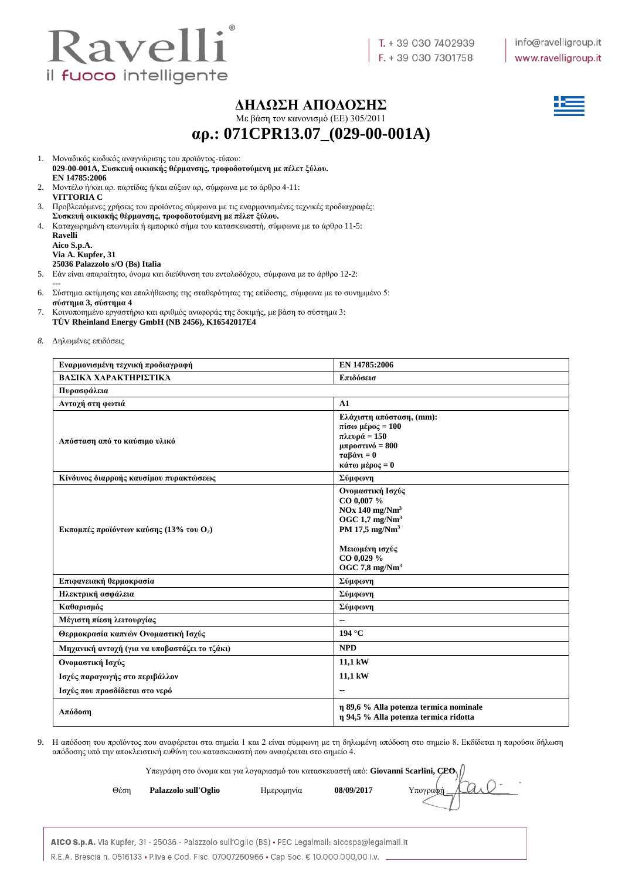

#### **ΔΗΛΩΣΗ ΑΠΟΔΟΣΗΣ**

Με βάση τον κανονισμό (ΕE) 305/2011

**αρ.: 071CPR13.07\_(029-00-001A)**

- 1. Μοναδικός κωδικός αναγνώρισης του προϊόντος-τύπου:
- **029-00-001A, Συσκευή οικιακής θέρμανσης, τροφοδοτούμενη με πέλετ ξύλου. EN 14785:2006**
- 2. Μοντέλο ή/και αρ. παρτίδας ή/και αύξων αρ, σύμφωνα με το άρθρο 4-11: **VITTORIA C**
- 3. Προβλεπόμενες χρήσεις του προϊόντος σύμφωνα με τις εναρμονισμένες τεχνικές προδιαγραφές: **Συσκευή οικιακής θέρμανσης, τροφοδοτούμενη με πέλετ ξύλου.**
- 4. Καταχωρημένη επωνυμία ή εμπορικό σήμα του κατασκευαστή, σύμφωνα με το άρθρο 11-5: **Ravelli**

| кауеш                           |
|---------------------------------|
| Aico S.p.A.                     |
| Via A. Kupfer, 31               |
| 25036 Palazzolo s/O (Bs) Italia |
|                                 |

- 5. Εάν είναι απαραίτητο, όνομα και διεύθυνση του εντολοδόχου, σύμφωνα με το άρθρο 12-2:
- **---** 6. Σύστημα εκτίμησης και επαλήθευσης της σταθερότητας της επίδοσης, σύμφωνα με το συνημμένο 5: **σύστημα 3, σύστημα 4**
- 7. Κοινοποιημένο εργαστήριο και αριθμός αναφοράς της δοκιμής, με βάση το σύστημα 3: **TÜV Rheinland Energy GmbH (NB 2456), K16542017E4**
- *8.* Δηλωμένες επιδόσεις

| Εναρμονισμένη τεχνική προδιαγραφή                           | EN 14785:2006                                                                                                                                                |
|-------------------------------------------------------------|--------------------------------------------------------------------------------------------------------------------------------------------------------------|
| ΒΑΣΙΚΆ ΧΑΡΑΚΤΗΡΙΣΤΙΚΆ                                       | Επιδόσεισ                                                                                                                                                    |
| Πυρασφάλεια                                                 |                                                                                                                                                              |
| Αντοχή στη φωτιά                                            | A1                                                                                                                                                           |
| Απόσταση από το καύσιμο υλικό                               | Ελάχιστη απόσταση, (mm):<br>πίσω μέρος = $100$<br>πλευρά = 150<br>$\mu\pi\rho$ οστινό = 800<br>$\tau\alpha\beta\dot{\alpha}v_1=0$<br>κάτω μέρος = 0          |
| Κίνδυνος διαρροής καυσίμου πυρακτώσεως                      | Σύμφωνη                                                                                                                                                      |
| <b>Εκπομπές προϊόντων καύσης (13% του <math>O_2</math>)</b> | Ονομαστική Ισχύς<br>CO 0,007 %<br>$NOx$ 140 mg/ $Nm3$<br>OGC 1.7 $mg/Nm3$<br>PM 17,5 mg/ $Nm3$<br>Μειωμένη ισχύς<br>CO 0,029 %<br>OGC 7,8 mg/Nm <sup>3</sup> |
| Επιφανειακή θερμοκρασία                                     | Σύμφωνη                                                                                                                                                      |
| Ηλεκτρική ασφάλεια                                          | Σύμφωνη                                                                                                                                                      |
| Καθαρισμός                                                  | Σύμφωνη                                                                                                                                                      |
| Μέγιστη πίεση λειτουργίας                                   | --                                                                                                                                                           |
| Θερμοκρασία καπνών Ονομαστική Ισχύς                         | 194 °C                                                                                                                                                       |
| Μηχανική αντοχή (για να υποβαστάζει το τζάκι)               | <b>NPD</b>                                                                                                                                                   |
| Ονομαστική Ισχύς                                            | 11,1 kW                                                                                                                                                      |
| Ισχύς παραγωγής στο περιβάλλον                              | 11,1 kW                                                                                                                                                      |
| Ισχύς που προσδίδεται στο νερό                              | $\overline{\phantom{a}}$                                                                                                                                     |
| Απόδοση                                                     | η 89,6 % Alla potenza termica nominale<br>η 94,5 % Alla potenza termica ridotta                                                                              |

9. Η απόδοση του προϊόντος που αναφέρεται στα σημεία 1 και 2 είναι σύμφωνη με τη δηλωμένη απόδοση στο σημείο 8. Εκδίδεται η παρούσα δήλωση απόδοσης υπό την αποκλειστική ευθύνη του κατασκευαστή που αναφέρεται στο σημείο 4.

Υπεγράφη στο όνομα και για λογαριασμό του κατασκευαστή από: **Giovanni Scarlini, CEO**

Θέση **Palazzolo sull'Oglio** Ημερομηνία **08/09/2017** Υπογραφή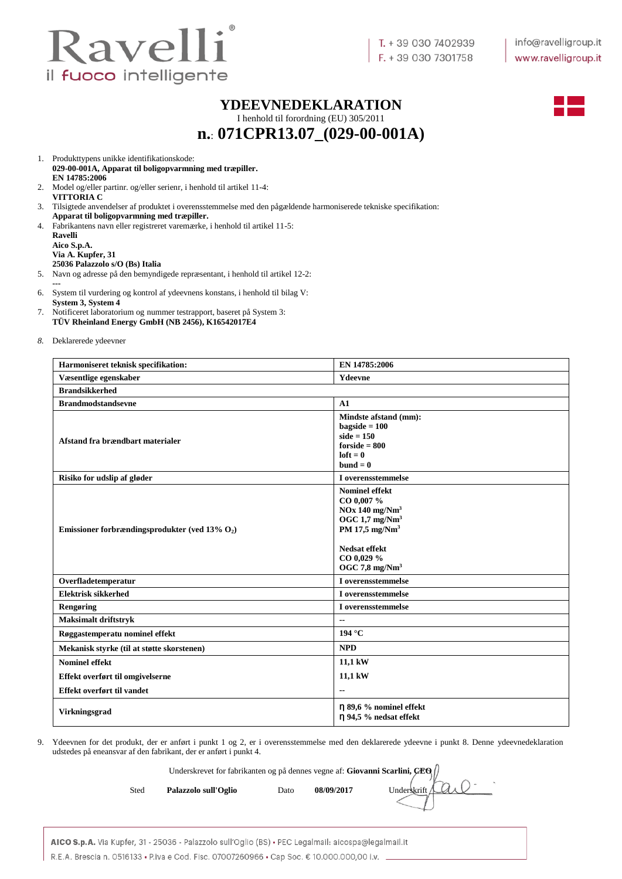

#### **YDEEVNEDEKLARATION**

I henhold til forordning (EU) 305/2011 **n.**: **071CPR13.07\_(029-00-001A)**



1. Produkttypens unikke identifikationskode:

- **029-00-001A, Apparat til boligopvarmning med træpiller. EN 14785:2006**
- 2. Model og/eller partinr. og/eller serienr, i henhold til artikel 11-4: **VITTORIA C**
- 3. Tilsigtede anvendelser af produktet i overensstemmelse med den pågældende harmoniserede tekniske specifikation:
- **Apparat til boligopvarmning med træpiller.** 4. Fabrikantens navn eller registreret varemærke, i henhold til artikel 11-5: **Ravelli**
	- **Aico S.p.A. Via A. Kupfer, 31 25036 Palazzolo s/O (Bs) Italia**
- 5. Navn og adresse på den bemyndigede repræsentant, i henhold til artikel 12-2: **---**
- 6. System til vurdering og kontrol af ydeevnens konstans, i henhold til bilag V: **System 3, System 4**
- 7. Notificeret laboratorium og nummer testrapport, baseret på System 3: **TÜV Rheinland Energy GmbH (NB 2456), K16542017E4**
- *8.* Deklarerede ydeevner

| Harmoniseret teknisk specifikation:               | EN 14785:2006                                                                                                                                                                            |
|---------------------------------------------------|------------------------------------------------------------------------------------------------------------------------------------------------------------------------------------------|
| Væsentlige egenskaber                             | Ydeevne                                                                                                                                                                                  |
| <b>Brandsikkerhed</b>                             |                                                                                                                                                                                          |
| <b>Brandmodstandsevne</b>                         | A1                                                                                                                                                                                       |
| Afstand fra brændbart materialer                  | Mindste afstand (mm):<br>$bagside = 100$<br>side $= 150$<br>$forside = 800$<br>$left = 0$<br>$bund = 0$                                                                                  |
| Risiko for udslip af gløder                       | I overensstemmelse                                                                                                                                                                       |
| Emissioner forbrændingsprodukter (ved 13% $O_2$ ) | <b>Nominel effekt</b><br>CO 0,007 %<br>$NOx$ 140 mg/ $Nm3$<br>OGC $1.7 \text{ mg}/\text{Nm}^3$<br>PM 17,5 $mg/Nm3$<br><b>Nedsat effekt</b><br>CO 0,029 %<br>OGC $7,8$ mg/Nm <sup>3</sup> |
| Overfladetemperatur                               | I overensstemmelse                                                                                                                                                                       |
| <b>Elektrisk sikkerhed</b>                        | I overensstemmelse                                                                                                                                                                       |
| Rengøring                                         | I overensstemmelse                                                                                                                                                                       |
| <b>Maksimalt driftstryk</b>                       | $\overline{\phantom{a}}$                                                                                                                                                                 |
| Røggastemperatu nominel effekt                    | 194 °C                                                                                                                                                                                   |
| Mekanisk styrke (til at støtte skorstenen)        | <b>NPD</b>                                                                                                                                                                               |
| <b>Nominel effekt</b>                             | 11,1 kW                                                                                                                                                                                  |
| Effekt overført til omgivelserne                  | 11,1 kW                                                                                                                                                                                  |
| Effekt overført til vandet                        | $\overline{\phantom{a}}$                                                                                                                                                                 |
| Virkningsgrad                                     | $\eta$ 89,6 % nominel effekt<br>n 94,5 % nedsat effekt                                                                                                                                   |

9. Ydeevnen for det produkt, der er anført i punkt 1 og 2, er i overensstemmelse med den deklarerede ydeevne i punkt 8. Denne ydeevnedeklaration udstedes på eneansvar af den fabrikant, der er anført i punkt 4.

Underskrevet for fabrikanten og på dennes vegne af: **Giovanni Scarlini, CEO**

| Sted<br>Palazzolo sull'Oglio | Dato | 08/09/2017 |  |
|------------------------------|------|------------|--|
|                              |      |            |  |

Underskrift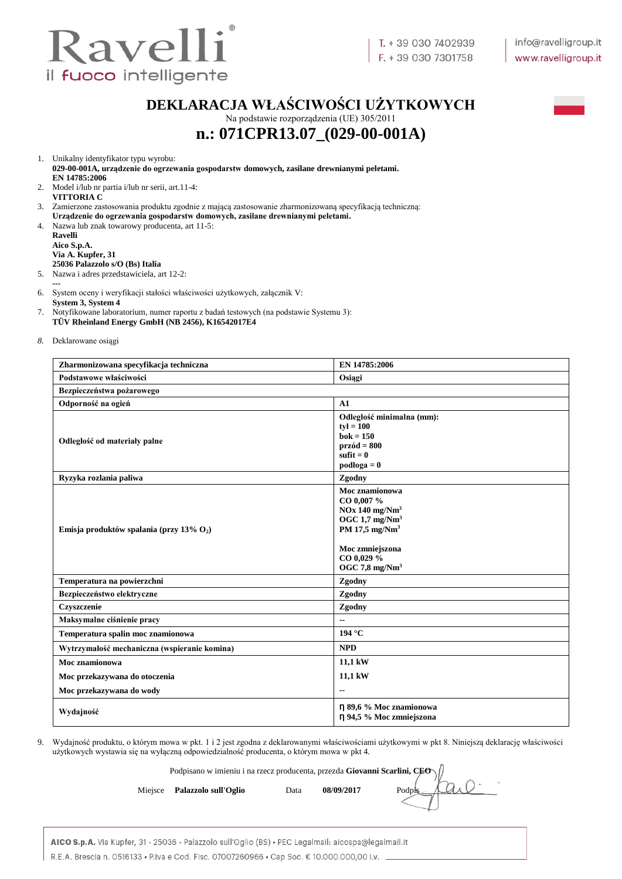

### **DEKLARACJA WŁAŚCIWOŚCI UŻYTKOWYCH**

Na podstawie rozporządzenia (UE) 305/2011 **n.: 071CPR13.07\_(029-00-001A)**



1. Unikalny identyfikator typu wyrobu:

**029-00-001A, urządzenie do ogrzewania gospodarstw domowych, zasilane drewnianymi peletami. EN 14785:2006**

- 2. Model i/lub nr partia i/lub nr serii, art.11-4: **VITTORIA C**
- 3. Zamierzone zastosowania produktu zgodnie z mającą zastosowanie zharmonizowaną specyfikacją techniczną:
- **Urządzenie do ogrzewania gospodarstw domowych, zasilane drewnianymi peletami.** 4. Nazwa lub znak towarowy producenta, art 11-5:
	- **Ravelli Aico S.p.A. Via A. Kupfer, 31 25036 Palazzolo s/O (Bs) Italia**
- 5. Nazwa i adres przedstawiciela, art 12-2:
- **---**
- 6. System oceny i weryfikacji stałości właściwości użytkowych, załącznik V:
- **System 3, System 4**
- 7. Notyfikowane laboratorium, numer raportu z badań testowych (na podstawie Systemu 3): **TÜV Rheinland Energy GmbH (NB 2456), K16542017E4**
- *8.* Deklarowane osiągi

| Zharmonizowana specyfikacja techniczna       | EN 14785:2006                                                                                                                                                               |
|----------------------------------------------|-----------------------------------------------------------------------------------------------------------------------------------------------------------------------------|
| Podstawowe właściwości                       | Osiągi                                                                                                                                                                      |
| Bezpieczeństwa pożarowego                    |                                                                                                                                                                             |
| Odporność na ogień                           | A1                                                                                                                                                                          |
| Odległość od materiały palne                 | Odległość minimalna (mm):<br>$ty = 100$<br>$bok = 150$<br>$przód = 800$<br>sufit $= 0$<br>$podloga = 0$                                                                     |
| Ryzyka rozlania paliwa                       | Zgodny                                                                                                                                                                      |
| Emisja produktów spalania (przy 13% $O_2$ )  | Moc znamionowa<br>CO 0,007 %<br>$NOx$ 140 mg/ $Nm3$<br>OGC $1.7 \text{ mg}/\text{Nm}^3$<br>PM 17,5 mg/Nm <sup>3</sup><br>Moc zmniejszona<br>CO 0,029 %<br>OGC 7,8 mg/ $Nm3$ |
| Temperatura na powierzchni                   | Zgodny                                                                                                                                                                      |
| Bezpieczeństwo elektryczne                   | Zgodny                                                                                                                                                                      |
| Czyszczenie                                  | Zgodny                                                                                                                                                                      |
| Maksymalne ciśnienie pracy                   |                                                                                                                                                                             |
| Temperatura spalin moc znamionowa            | 194 °C                                                                                                                                                                      |
| Wytrzymałość mechaniczna (wspieranie komina) | <b>NPD</b>                                                                                                                                                                  |
| Moc znamionowa                               | 11,1 kW                                                                                                                                                                     |
| Moc przekazywana do otoczenia                | 11,1 kW                                                                                                                                                                     |
| Moc przekazywana do wody                     |                                                                                                                                                                             |
| Wydajność                                    | η 89,6 % Moc znamionowa<br>η 94,5 % Moc zmniejszona                                                                                                                         |

9. Wydajność produktu, o którym mowa w pkt. 1 i 2 jest zgodna z deklarowanymi właściwościami użytkowymi w pkt 8. Niniejszą deklarację właściwości użytkowych wystawia się na wyłączną odpowiedzialność producenta, o którym mowa w pkt 4.

Podpisano w imieniu i na rzecz producenta, przezda **Giovanni Scarlini, CEO**

|  | Miejsce Palazzolo sull'Oglio | Data | 08/09/2017 | Podpts Alle |
|--|------------------------------|------|------------|-------------|
|--|------------------------------|------|------------|-------------|

| AICO S.p.A. Via Kupfer, 31 - 25036 - Palazzolo sull'Oglio (BS) • PEC Legalmail: aicospa@legalmail.it |  |
|------------------------------------------------------------------------------------------------------|--|
| R.E.A. Brescia n. 0516133 • P.iva e Cod. Fisc. 07007260966 • Cap Soc. € 10.000.000.00 i.v.           |  |